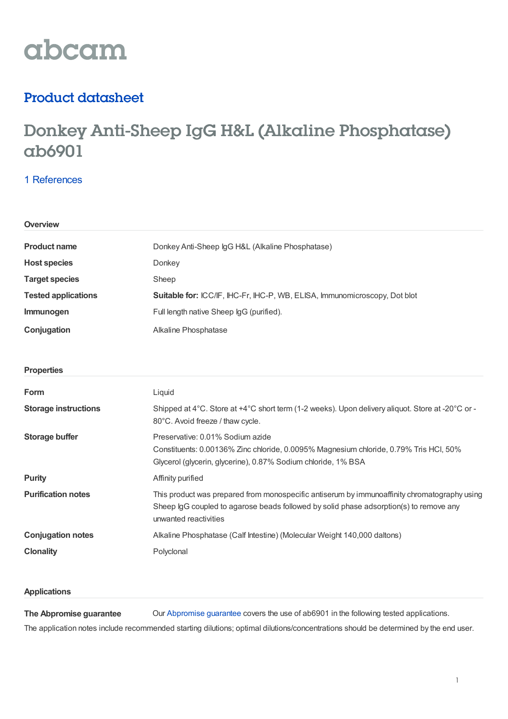# abcam

### Product datasheet

## Donkey Anti-Sheep IgG H&L (Alkaline Phosphatase) ab6901

#### 1 [References](https://www.abcam.com/donkey-sheep-igg-hl-alkaline-phosphatase-ab6901.html#description_references)

| Overview                    |                                                                                                                                                                                                                 |  |  |
|-----------------------------|-----------------------------------------------------------------------------------------------------------------------------------------------------------------------------------------------------------------|--|--|
| <b>Product name</b>         | Donkey Anti-Sheep IgG H&L (Alkaline Phosphatase)                                                                                                                                                                |  |  |
| <b>Host species</b>         | Donkey                                                                                                                                                                                                          |  |  |
| <b>Target species</b>       | Sheep                                                                                                                                                                                                           |  |  |
| <b>Tested applications</b>  | Suitable for: ICC/IF, IHC-Fr, IHC-P, WB, ELISA, Immunomicroscopy, Dot blot                                                                                                                                      |  |  |
| Immunogen                   | Full length native Sheep IgG (purified).                                                                                                                                                                        |  |  |
| Conjugation                 | Alkaline Phosphatase                                                                                                                                                                                            |  |  |
| <b>Properties</b>           |                                                                                                                                                                                                                 |  |  |
| Form                        | Liquid                                                                                                                                                                                                          |  |  |
| <b>Storage instructions</b> | Shipped at 4°C. Store at +4°C short term (1-2 weeks). Upon delivery aliquot. Store at -20°C or -<br>80°C. Avoid freeze / thaw cycle.                                                                            |  |  |
| <b>Storage buffer</b>       | Preservative: 0.01% Sodium azide<br>Constituents: 0.00136% Zinc chloride, 0.0095% Magnesium chloride, 0.79% Tris HCl, 50%<br>Glycerol (glycerin, glycerine), 0.87% Sodium chloride, 1% BSA                      |  |  |
| <b>Purity</b>               | Affinity purified                                                                                                                                                                                               |  |  |
| <b>Purification notes</b>   | This product was prepared from monospecific antiserum by immunoaffinity chromatography using<br>Sheep IgG coupled to agarose beads followed by solid phase adsorption(s) to remove any<br>unwanted reactivities |  |  |
| <b>Conjugation notes</b>    | Alkaline Phosphatase (Calf Intestine) (Molecular Weight 140,000 daltons)                                                                                                                                        |  |  |
| <b>Clonality</b>            | Polyclonal                                                                                                                                                                                                      |  |  |
|                             |                                                                                                                                                                                                                 |  |  |

#### **Applications**

**The Abpromise guarantee** Our [Abpromise](https://www.abcam.com/abpromise) guarantee covers the use of ab6901 in the following tested applications. The application notes include recommended starting dilutions; optimal dilutions/concentrations should be determined by the end user.